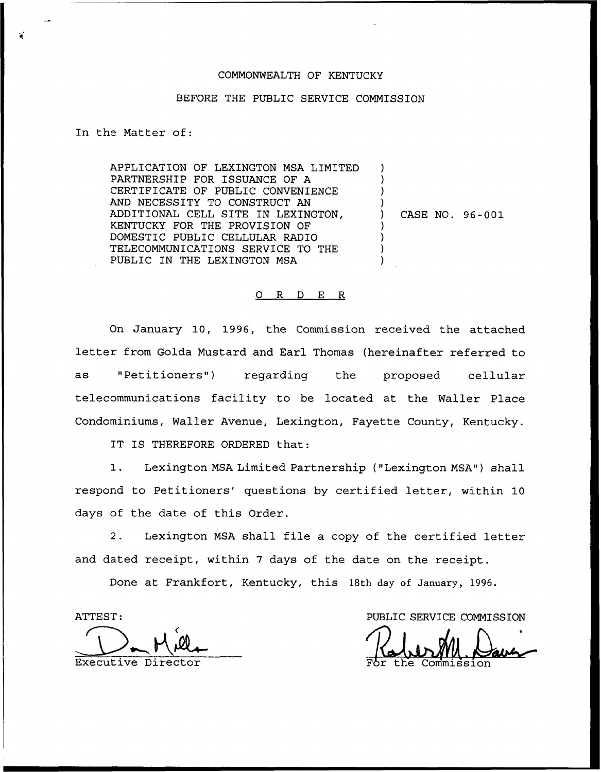## COMMONWEALTH OF KENTUCKY

## BEFORE THE PUBLIC SERVICE COMMISSION

## In the Matter of:

APPLICATION OF LEXINGTON MSA LIMITED PARTNERSHIP FOR ISSUANCE OF A CERTIFICATE OF PUBLIC CONVENIENCE AND NECESSITY TO CONSTRUCT AN ADDITIONAL CELL SITE IN LEXINGTON, KENTUCKY FOR THE PROVISION OF DOMESTIC PUBLIC CELLULAR RADIO TELECOMMUNICATIONS SERVICE TO THE PUBLIC IN THE LEXINGTON MSA ) ) ) ) ) ) ) )

) CASE NO. 96-001

## 0 R <sup>D</sup> E R

On January 10, 1996, the Commission received the attached letter from Golda Mustard and Earl Thomas (hereinafter referred to as "Petitioners") regarding the proposed cellular telecommunications facility to be located at the Wallez Place Condominiums, Wailer Avenue, Lexington, Fayette County, Kentucky.

IT IS THEREFORE ORDERED that:

1. Lexington MSA Limited Partnership ("Lexington MSA") shall respond to Petitioners' questions by certified letter, within 10 days of the date of this Order.

2. Lexington MSA shall file a copy of the certified letter and dated receipt, within <sup>7</sup> days of the date on the receipt.

Done at Frankfort, Kentucky, this 18th day of January, 1996.

ATTEST

PUBLIC SERVICE COMMISSION

Executive Director **For the Commission**